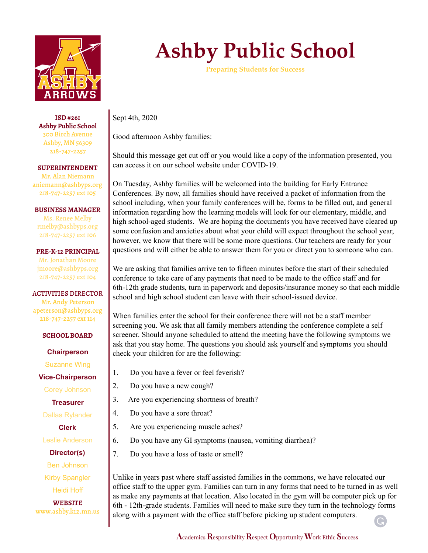

**ISD #261 Ashby Public School** 300 Birch Avenue Ashby, MN 56309 218-747-2257

**SUPERINTENDENT** Mr. Alan Niemann aniemann@ashbyps.org 218-747-2257 ext 105

**BUSINESS MANAGER** Ms. Renee Melby rmelby@ashbyps.org 218-747-2257 ext 106

**PRE-K-12 PRINCIPAL** Mr. Jonathan Moore jmoore@ashbyps.org 218-747-2257 ext 104

ACTIVITIES DIRECTOR Mr. Andy Peterson apeterson@ashbyps.org 218-747-2257 ext 114

**SCHOOL BOARD**

**Chairperson**

Suzanne Wing

**Vice-Chairperson**

Corey Johnson

**Treasurer**

Dallas Rylander

**Clerk**

Leslie Anderson

**Director(s)** Ben Johnson Kirby Spangler

Heidi Hoff

**WEBSITE** www.ashby.k12.mn.us

## **Ashby Public School**

**Preparing Students for Success**

Sept 4th, 2020

Good afternoon Ashby families:

Should this message get cut off or you would like a copy of the information presented, you can access it on our school website under COVID-19.

On Tuesday, Ashby families will be welcomed into the building for Early Entrance Conferences. By now, all families should have received a packet of information from the school including, when your family conferences will be, forms to be filled out, and general information regarding how the learning models will look for our elementary, middle, and high school-aged students. We are hoping the documents you have received have cleared up some confusion and anxieties about what your child will expect throughout the school year, however, we know that there will be some more questions. Our teachers are ready for your questions and will either be able to answer them for you or direct you to someone who can.

We are asking that families arrive ten to fifteen minutes before the start of their scheduled conference to take care of any payments that need to be made to the office staff and for 6th-12th grade students, turn in paperwork and deposits/insurance money so that each middle school and high school student can leave with their school-issued device.

When families enter the school for their conference there will not be a staff member screening you. We ask that all family members attending the conference complete a self screener. Should anyone scheduled to attend the meeting have the following symptoms we ask that you stay home. The questions you should ask yourself and symptoms you should check your children for are the following:

- 1. Do you have a fever or feel feverish?
- 2. Do you have a new cough?
- 3. Are you experiencing shortness of breath?
- 4. Do you have a sore throat?
- 5. Are you experiencing muscle aches?
- 6. Do you have any GI symptoms (nausea, vomiting diarrhea)?
- 7. Do you have a loss of taste or smell?

Unlike in years past where staff assisted families in the commons, we have relocated our office staff to the upper gym. Families can turn in any forms that need to be turned in as well as make any payments at that location. Also located in the gym will be computer pick up for 6th - 12th-grade students. Families will need to make sure they turn in the technology forms along with a payment with the office staff before picking up student computers.

G